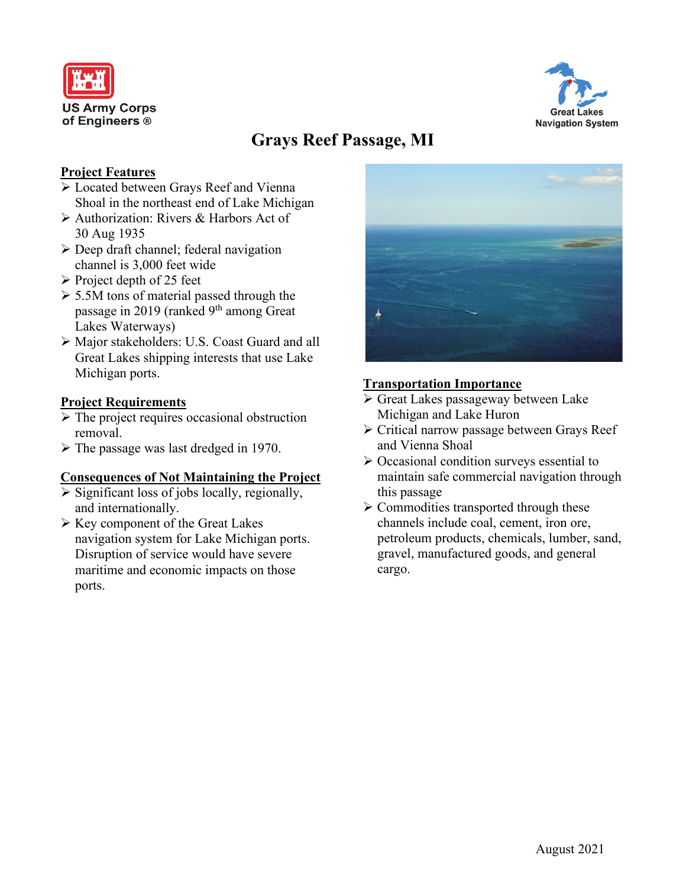



# **Grays Reef Passage, MI**

## **Project Features**

- Located between Grays Reef and Vienna Shoal in the northeast end of Lake Michigan
- Authorization: Rivers & Harbors Act of 30 Aug 1935
- $\triangleright$  Deep draft channel; federal navigation channel is 3,000 feet wide
- $\triangleright$  Project depth of 25 feet
- $> 5.5M$  tons of material passed through the passage in 2019 (ranked 9<sup>th</sup> among Great Lakes Waterways)
- Major stakeholders: U.S. Coast Guard and all Great Lakes shipping interests that use Lake Michigan ports.

## **Project Requirements**

- $\triangleright$  The project requires occasional obstruction removal.
- $\triangleright$  The passage was last dredged in 1970.

### **Consequences of Not Maintaining the Project**

- $\triangleright$  Significant loss of jobs locally, regionally, and internationally.
- $\triangleright$  Key component of the Great Lakes navigation system for Lake Michigan ports. Disruption of service would have severe maritime and economic impacts on those ports.



#### **Transportation Importance**

- Great Lakes passageway between Lake Michigan and Lake Huron
- Critical narrow passage between Grays Reef and Vienna Shoal
- $\triangleright$  Occasional condition surveys essential to maintain safe commercial navigation through this passage
- $\triangleright$  Commodities transported through these channels include coal, cement, iron ore, petroleum products, chemicals, lumber, sand, gravel, manufactured goods, and general cargo.